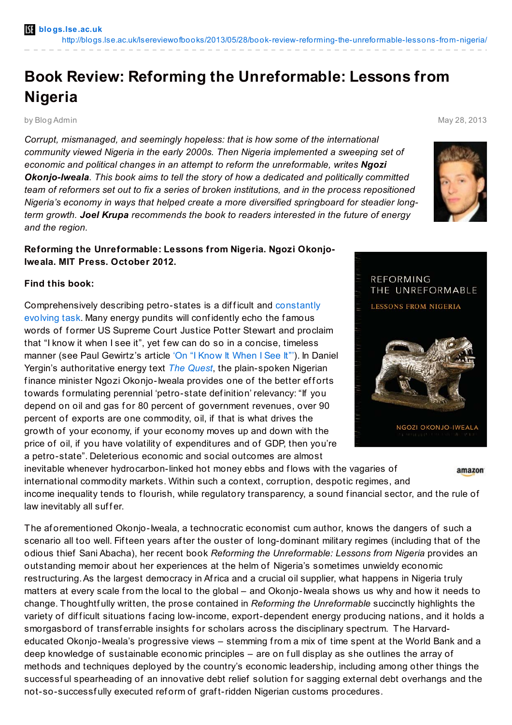## **Book Review: Reforming the Unreformable: Lessons from Nigeria**

## by Blog Admin May 28, 2013

*Corrupt, mismanaged, and seemingly hopeless: that is how some of the international community viewed Nigeria in the early 2000s. Then Nigeria implemented a sweeping set of economic and political changes in an attempt to reform the unreformable, writes Ngozi Okonjo-Iweala. This book aims to tell the story of how a dedicated and politically committed team of reformers set out to fix a series of broken institutions, and in the process repositioned Nigeria's economy in ways that helped create a more diversified springboard for steadier longterm growth. Joel Krupa recommends the book to readers interested in the future of energy and the region.*

## **Reforming the Unreformable: Lessons from Nigeria. Ngozi Okonjo-Iweala. MIT Press. October 2012.**

## **Find this book:**

[Comprehensively](http://blogs.lse.ac.uk/lsereviewofbooks/2013/05/05/book-review-the-oil-curse-how-petroleum-wealth-shapes-the-development-of-nations/) describing petro-states is a difficult and constantly evolving task. Many energy pundits will confidently echo the famous words of former US Supreme Court Justice Potter Stewart and proclaim that "I know it when I see it", yet few can do so in a concise, timeless manner (see Paul Gewirtz's article 'On "I Know It [When](http://www.jstor.org/stable/797245) I See It"'). In Daniel Yergin's authoritative energy text *The [Quest](http://www.amazon.co.uk/gp/product/0143121944/ref=as_li_qf_sp_asin_il_tl?ie=UTF8&camp=1634&creative=6738&creativeASIN=0143121944&linkCode=as2&tag=lsreofbo-21)*, the plain-spoken Nigerian finance minister Ngozi Okonjo-Iweala provides one of the better efforts towards formulating perennial 'petro-state definition' relevancy: "If you depend on oil and gas for 80 percent of government revenues, over 90 percent of exports are one commodity, oil, if that is what drives the growth of your economy, if your economy moves up and down with the price of oil, if you have volatility of expenditures and of GDP, then you're a petro-state". Deleterious economic and social outcomes are almost

inevitable whenever hydrocarbon-linked hot money ebbs and flows with the vagaries of amazon international commodity markets. Within such a context, corruption, despotic regimes, and income inequality tends to flourish, while regulatory transparency, a sound financial sector, and the rule of law inevitably all suffer.

The af orementioned Okonjo-Iweala, a technocratic economist cum author, knows the dangers of such a scenario all too well. Fifteen years after the ouster of long-dominant military regimes (including that of the odious thief Sani Abacha), her recent book *Reforming the Unreformable: Lessons from Nigeria* provides an outstanding memoir about her experiences at the helm of Nigeria's sometimes unwieldy economic restructuring.As the largest democracy in Africa and a crucial oil supplier, what happens in Nigeria truly matters at every scale from the local to the global – and Okonjo-Iweala shows us why and how it needs to change. Thoughtf ully written, the prose contained in *Reforming the Unreformable* succinctly highlights the variety of difficult situations facing low-income, export-dependent energy producing nations, and it holds a smorgasbord of transferrable insights for scholars across the disciplinary spectrum. The Harvardeducated Okonjo-Iweala's progressive views – stemming from a mix of time spent at the World Bank and a deep knowledge of sustainable economic principles – are on f ull display as she outlines the array of methods and techniques deployed by the country's economic leadership, including among other things the successful spearheading of an innovative debt relief solution for sagging external debt overhangs and the not-so-successf ully executed ref orm of graf t-ridden Nigerian customs procedures.